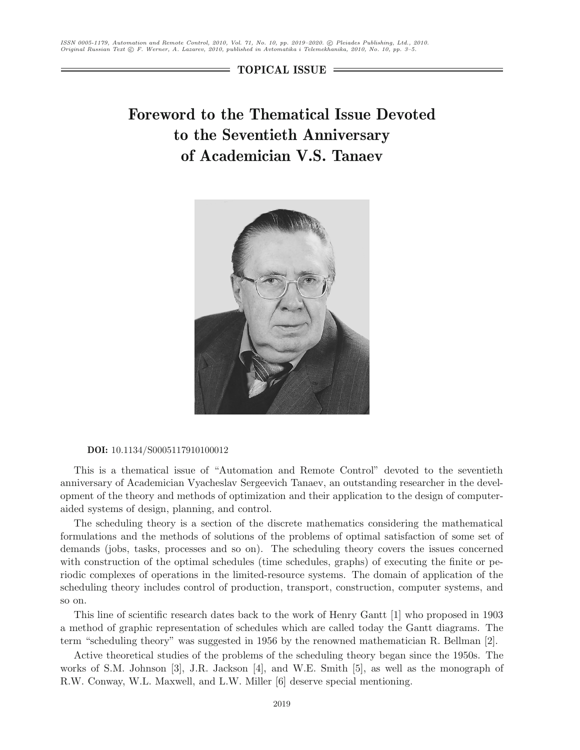**TOPICAL ISSUE**

# **Foreword to the Thematical Issue Devoted to the Seventieth Anniversary of Academician V.S. Tanaev**



#### **DOI:** 10.1134/S0005117910100012

This is a thematical issue of "Automation and Remote Control" devoted to the seventieth anniversary of Academician Vyacheslav Sergeevich Tanaev, an outstanding researcher in the development of the theory and methods of optimization and their application to the design of computeraided systems of design, planning, and control.

The scheduling theory is a section of the discrete mathematics considering the mathematical formulations and the methods of solutions of the problems of optimal satisfaction of some set of demands (jobs, tasks, processes and so on). The scheduling theory covers the issues concerned with construction of the optimal schedules (time schedules, graphs) of executing the finite or periodic complexes of operations in the limited-resource systems. The domain of application of the scheduling theory includes control of production, transport, construction, computer systems, and so on.

This line of scientific research dates back to the work of Henry Gantt [1] who proposed in 1903 a method of graphic representation of schedules which are called today the Gantt diagrams. The term "scheduling theory" was suggested in 1956 by the renowned mathematician R. Bellman [2].

Active theoretical studies of the problems of the scheduling theory began since the 1950s. The works of S.M. Johnson [3], J.R. Jackson [4], and W.E. Smith [5], as well as the monograph of R.W. Conway, W.L. Maxwell, and L.W. Miller [6] deserve special mentioning.